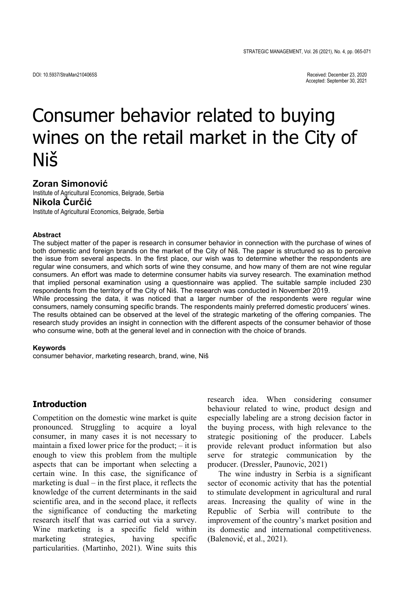# Consumer behavior related to buying wines on the retail market in the City of Niš

# **Zoran Simonović**

Institute of Agricultural Economics, Belgrade, Serbia **Nikola Ćurčić**

Institute of Agricultural Economics, Belgrade, Serbia

#### **Abstract**

The subject matter of the paper is research in consumer behavior in connection with the purchase of wines of both domestic and foreign brands on the market of the City of Niš. The paper is structured so as to perceive the issue from several aspects. In the first place, our wish was to determine whether the respondents are regular wine consumers, and which sorts of wine they consume, and how many of them are not wine regular consumers. An effort was made to determine consumer habits via survey research. The examination method that implied personal examination using a questionnaire was applied. The suitable sample included 230 respondents from the territory of the City of Niš. The research was conducted in November 2019.

While processing the data, it was noticed that a larger number of the respondents were regular wine consumers, namely consuming specific brands. The respondents mainly preferred domestic producers' wines. The results obtained can be observed at the level of the strategic marketing of the offering companies. The research study provides an insight in connection with the different aspects of the consumer behavior of those who consume wine, both at the general level and in connection with the choice of brands.

#### **Keywords**

consumer behavior, marketing research, brand, wine, Niš

## **Introduction**

Competition on the domestic wine market is quite pronounced. Struggling to acquire a loyal consumer, in many cases it is not necessary to maintain a fixed lower price for the product; – it is enough to view this problem from the multiple aspects that can be important when selecting a certain wine. In this case, the significance of marketing is dual – in the first place, it reflects the knowledge of the current determinants in the said scientific area, and in the second place, it reflects the significance of conducting the marketing research itself that was carried out via a survey. Wine marketing is a specific field within marketing strategies, having specific particularities. (Martinho, 2021). Wine suits this

research idea. When considering consumer behaviour related to wine, product design and especially labeling are a strong decision factor in the buying process, with high relevance to the strategic positioning of the producer. Labels provide relevant product information but also serve for strategic communication by the producer. (Dressler, Paunovic, 2021)

The wine industry in Serbia is a significant sector of economic activity that has the potential to stimulate development in agricultural and rural areas. Increasing the quality of wine in the Republic of Serbia will contribute to the improvement of the country's market position and its domestic and international competitiveness. (Balenović, et al., 2021).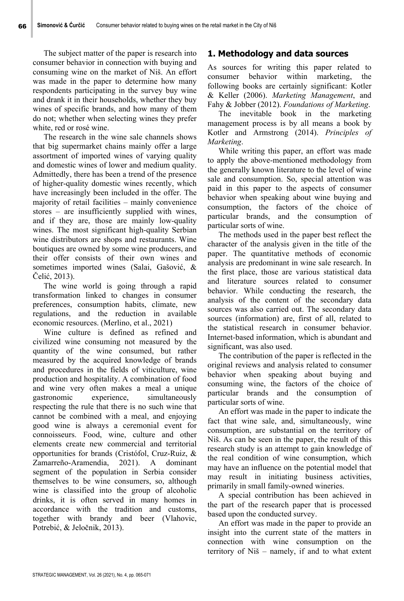The subject matter of the paper is research into consumer behavior in connection with buying and consuming wine on the market of Niš. An effort was made in the paper to determine how many respondents participating in the survey buy wine and drank it in their households, whether they buy wines of specific brands, and how many of them do not; whether when selecting wines they prefer white, red or rosé wine.

The research in the wine sale channels shows that big supermarket chains mainly offer a large assortment of imported wines of varying quality and domestic wines of lower and medium quality. Admittedly, there has been a trend of the presence of higher-quality domestic wines recently, which have increasingly been included in the offer. The majority of retail facilities – mainly convenience stores – are insufficiently supplied with wines, and if they are, those are mainly low-quality wines. The most significant high-quality Serbian wine distributors are shops and restaurants. Wine boutiques are owned by some wine producers, and their offer consists of their own wines and sometimes imported wines (Salai, Gašović, & Čelić, 2013).

The wine world is going through a rapid transformation linked to changes in consumer preferences, consumption habits, climate, new regulations, and the reduction in available economic resources. (Merlino, et al., 2021)

Wine culture is defined as refined and civilized wine consuming not measured by the quantity of the wine consumed, but rather measured by the acquired knowledge of brands and procedures in the fields of viticulture, wine production and hospitality. A combination of food and wine very often makes a meal a unique gastronomic experience, simultaneously respecting the rule that there is no such wine that cannot be combined with a meal, and enjoying good wine is always a ceremonial event for connoisseurs. Food, wine, culture and other elements create new commercial and territorial opportunities for brands (Cristófol, Cruz-Ruiz, & Zamarreño-Aramendia, 2021). A dominant segment of the population in Serbia consider themselves to be wine consumers, so, although wine is classified into the group of alcoholic drinks, it is often served in many homes in accordance with the tradition and customs, together with brandy and beer (Vlahovic, Potrebić, & Jeločnik, 2013).

# **1. Methodology and data sources**

As sources for writing this paper related to consumer behavior within marketing, the following books are certainly significant: Kotler & Keller (2006). *Marketing Management*, and Fahy & Jobber (2012). *Foundations of Marketing*.

The inevitable book in the marketing management process is by all means a book by Kotler and Armstrong (2014). *Principles of Marketing*.

While writing this paper, an effort was made to apply the above-mentioned methodology from the generally known literature to the level of wine sale and consumption. So, special attention was paid in this paper to the aspects of consumer behavior when speaking about wine buying and consumption, the factors of the choice of particular brands, and the consumption of particular sorts of wine.

The methods used in the paper best reflect the character of the analysis given in the title of the paper. The quantitative methods of economic analysis are predominant in wine sale research. In the first place, those are various statistical data and literature sources related to consumer behavior. While conducting the research, the analysis of the content of the secondary data sources was also carried out. The secondary data sources (information) are, first of all, related to the statistical research in consumer behavior. Internet-based information, which is abundant and significant, was also used.

The contribution of the paper is reflected in the original reviews and analysis related to consumer behavior when speaking about buying and consuming wine, the factors of the choice of particular brands and the consumption of particular sorts of wine.

An effort was made in the paper to indicate the fact that wine sale, and, simultaneously, wine consumption, are substantial on the territory of Niš. As can be seen in the paper, the result of this research study is an attempt to gain knowledge of the real condition of wine consumption, which may have an influence on the potential model that may result in initiating business activities, primarily in small family-owned wineries.

A special contribution has been achieved in the part of the research paper that is processed based upon the conducted survey.

An effort was made in the paper to provide an insight into the current state of the matters in connection with wine consumption on the territory of Niš – namely, if and to what extent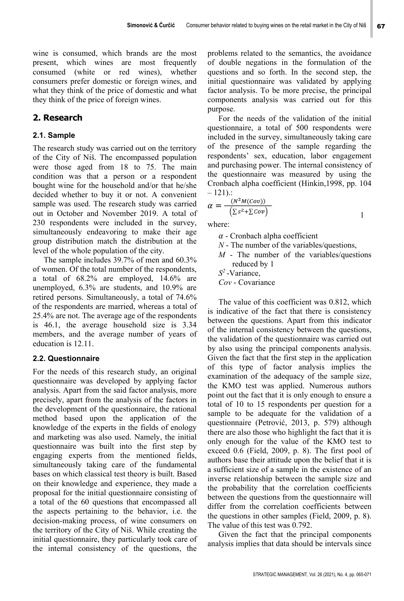wine is consumed, which brands are the most present, which wines are most frequently consumed (white or red wines), whether consumers prefer domestic or foreign wines, and what they think of the price of domestic and what they think of the price of foreign wines.

## **2. Research**

## **2.1. Sample**

The research study was carried out on the territory of the City of Niš. The encompassed population were those aged from 18 to 75. The main condition was that a person or a respondent bought wine for the household and/or that he/she decided whether to buy it or not. A convenient sample was used. The research study was carried out in October and November 2019. A total of 230 respondents were included in the survey, simultaneously endeavoring to make their age group distribution match the distribution at the level of the whole population of the city.

The sample includes 39.7% of men and 60.3% of women. Of the total number of the respondents, a total of 68.2% are employed, 14.6% are unemployed, 6.3% are students, and 10.9% are retired persons. Simultaneously, a total of 74.6% of the respondents are married, whereas a total of 25.4% are not. The average age of the respondents is 46.1, the average household size is 3.34 members, and the average number of years of education is 12.11.

## **2.2. Questionnaire**

For the needs of this research study, an original questionnaire was developed by applying factor analysis. Apart from the said factor analysis, more precisely, apart from the analysis of the factors in the development of the questionnaire, the rational method based upon the application of the knowledge of the experts in the fields of enology and marketing was also used. Namely, the initial questionnaire was built into the first step by engaging experts from the mentioned fields, simultaneously taking care of the fundamental bases on which classical test theory is built. Based on their knowledge and experience, they made a proposal for the initial questionnaire consisting of a total of the 60 questions that encompassed all the aspects pertaining to the behavior, i.e. the decision-making process, of wine consumers on the territory of the City of Niš. While creating the initial questionnaire, they particularly took care of the internal consistency of the questions, the

problems related to the semantics, the avoidance of double negations in the formulation of the questions and so forth. In the second step, the initial questionnaire was validated by applying factor analysis. To be more precise, the principal components analysis was carried out for this purpose.

For the needs of the validation of the initial questionnaire, a total of 500 respondents were included in the survey, simultaneously taking care of the presence of the sample regarding the respondents' sex, education, labor engagement and purchasing power. The internal consistency of the questionnaire was measured by using the Cronbach alpha coefficient (Hinkin,1998, pp. 104  $-121$ :

$$
\alpha = \frac{(N^2 M (Cov))}{(\Sigma s^2 + \Sigma Cov)}
$$

where:

 $\alpha$  - Cronbach alpha coefficient

- *N* The number of the variables/questions,
- *М* The number of the variables/questions reduced by 1

*S<sup>2</sup>*-Variance,

*Cov* - Covariance

The value of this coefficient was 0.812, which is indicative of the fact that there is consistency between the questions. Apart from this indicator of the internal consistency between the questions, the validation of the questionnaire was carried out by also using the principal components analysis. Given the fact that the first step in the application of this type of factor analysis implies the examination of the adequacy of the sample size, the KMO test was applied. Numerous authors point out the fact that it is only enough to ensure a total of 10 to 15 respondents per question for a sample to be adequate for the validation of a questionnaire (Petrović, 2013, p. 579) although there are also those who highlight the fact that it is only enough for the value of the KMO test to exceed 0.6 (Field, 2009, p. 8). The first pool of authors base their attitude upon the belief that it is a sufficient size of a sample in the existence of an inverse relationship between the sample size and the probability that the correlation coefficients between the questions from the questionnaire will differ from the correlation coefficients between the questions in other samples (Field, 2009, p. 8). The value of this test was 0.792.

Given the fact that the principal components analysis implies that data should be intervals since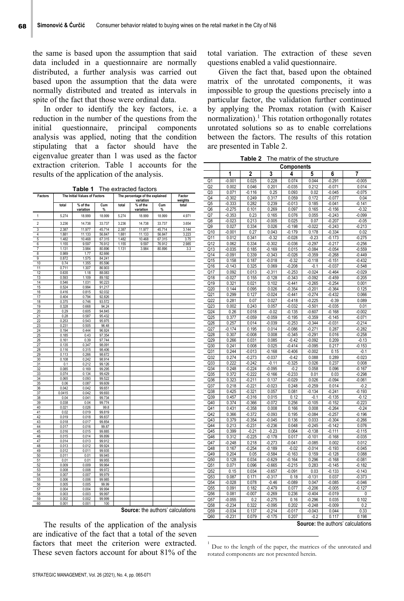the same is based upon the assumption that said data included in a questionnaire are normally distributed, a further analysis was carried out based upon the assumption that the data were normally distributed and treated as intervals in spite of the fact that those were ordinal data.

In order to identify the key factors, i.e. a reduction in the number of the questions from the initial questionnaire, principal components analysis was applied, noting that the condition stipulating that a factor should have the eigenvalue greater than 1 was used as the factor extraction criterion. Table 1 accounts for the results of the application of the analysis.

**Table 1** The extracted factors

| Factors             |                | The Initial Values of Factors |                  | The percentage of the explained |                  | Factor           |               |
|---------------------|----------------|-------------------------------|------------------|---------------------------------|------------------|------------------|---------------|
|                     |                |                               |                  |                                 | variation        |                  | weights       |
|                     | total          | % of the                      | Cum              | total                           | % of the         | Cum              | total         |
|                     |                | variation                     | %                |                                 | variation        | $\%$             |               |
| 1                   | 5.274          | 18.999                        | 18.999           | 5.274                           | 18.999           | 18.999           | 4.971         |
| $\overline{c}$<br>3 | 3.236          | 14.738                        | 33.737           | 3.236                           | 14.738           | 33.737           | 3.654         |
| 4                   | 2.387          | 11.977                        | 45.714           | 2.387                           | 11.977           | 45.714           | 3.144         |
| 5                   | 1.881<br>1.482 | 11.133<br>10.468              | 56.847<br>67.315 | 1.881<br>1.482                  | 11.133<br>10.468 | 56.847<br>67.315 | 3.223<br>3.75 |
| 6                   | 1.155          | 9.597                         | 76.912           | 1.155                           | 9.597            | 76.912           | 2.985         |
| 7                   | 1.131          | 3.984                         | 80.896           | 1.131                           | 3.984            | 80.896           | 3.3           |
| 8                   | 0.989          | 1.77                          | 82.666           |                                 |                  |                  |               |
| 9                   | 0.872          | 1.575                         | 84.241           |                                 |                  |                  |               |
| 10                  | 0.74           | 1.355                         | 85.596           |                                 |                  |                  |               |
| 11                  | 0.711          | 1.307                         | 86.903           |                                 |                  |                  |               |
| 12                  | 0.635          | 1.18                          | 88.083           |                                 |                  |                  |               |
| 13                  | 0.593          | 1.109                         | 89.192           |                                 |                  |                  |               |
| 14                  | 0.546          | 1.031                         | 90.223           |                                 |                  |                  |               |
| 15                  | 0.524          | 0.994                         | 91.217           |                                 |                  |                  |               |
| 16                  | 0.416          | 0.815                         | 92.032           |                                 |                  |                  |               |
| 17                  | 0.404          | 0.794                         | 92.826           |                                 |                  |                  |               |
| 18                  | 0.375          | 0.746                         | 93.572           |                                 |                  |                  |               |
| 19                  | 0.328          | 0.668                         | 94.24            |                                 |                  |                  |               |
| 20                  | 0.29           | 0.605                         | 94.845           |                                 |                  |                  |               |
| 21                  | 0.28           | 0.587                         | 95.432           |                                 |                  |                  |               |
| 22                  | 0.253          | 0.543                         | 95.975           |                                 |                  |                  |               |
| 23                  | 0.231          | 0.505                         | 96.48            |                                 |                  |                  |               |
| 24<br>25            | 0.194<br>0.185 | 0.444<br>0.43                 | 96.924<br>97.354 |                                 |                  |                  |               |
| 26                  | 0.161          | 0.39                          | 97.744           |                                 |                  |                  |               |
| 27                  | 0.135          | 0.347                         | 98.091           |                                 |                  |                  |               |
| 28                  | 0.116          | 0.315                         | 98.406           |                                 |                  |                  |               |
| 29                  | 0.113          | 0.266                         | 98.672           |                                 |                  |                  |               |
| 30                  | 0.108          | 0.242                         | 98.914           |                                 |                  |                  |               |
| 31                  | 0.1            | 0.212                         | 99.126           |                                 |                  |                  |               |
| 32                  | 0.085          | 0.169                         | 99.295           |                                 |                  |                  |               |
| 33                  | 0.074          | 0.134                         | 99.429           |                                 |                  |                  |               |
| 34                  | 0.065          | 0.093                         | 99.522           |                                 |                  |                  |               |
| 35                  | 0.06           | 0.087                         | 99.609           |                                 |                  |                  |               |
| 36                  | 0.042          | 0.042                         | 99.651           |                                 |                  |                  |               |
| 37                  | 0.0415         | 0.042                         | 99.693           |                                 |                  |                  |               |
| 38                  | 0.04           | 0.041                         | 99.734           |                                 |                  |                  |               |
| 39                  | 0.038          | 0.04                          | 99.774           |                                 |                  |                  |               |
| 40<br>41            | 0.021<br>0.02  | 0.026                         | 99.8             |                                 |                  |                  |               |
| 42                  | 0.019          | 0.019<br>0.018                | 99.819<br>99.837 |                                 |                  |                  |               |
| 43                  | 0.018          | 0.017                         | 99.854           |                                 |                  |                  |               |
| 44                  | 0.017          | 0.016                         | 99.87            |                                 |                  |                  |               |
| 45                  | 0.016          | 0.015                         | 99.885           |                                 |                  |                  |               |
| 46                  | 0.015          | 0.014                         | 99.899           |                                 |                  |                  |               |
| 47                  | 0.014          | 0.013                         | 99.912           |                                 |                  |                  |               |
| 48                  | 0.013          | 0.012                         | 99.924           |                                 |                  |                  |               |
| 49                  | 0.012          | 0.011                         | 99.935           |                                 |                  |                  |               |
| 50                  | 0.011          | 0.01                          | 99.945           |                                 |                  |                  |               |
| 51                  | 0.01           | 0.01                          | 99.955           |                                 |                  |                  |               |
| 52                  | 0.009          | 0.009                         | 99.964           |                                 |                  |                  |               |
| 53                  | 0.008          | 0.008                         | 99.972           |                                 |                  |                  |               |
| 54                  | 0.007          | 0.007                         | 99.979           |                                 |                  |                  |               |
| 55                  | 0.006          | 0.006                         | 99.985           |                                 |                  |                  |               |
| 56                  | 0.005          | 0.005                         | 99.99            |                                 |                  |                  |               |
| 57<br>58            | 0.004<br>0.003 | 0.004<br>0.003                | 99.994<br>99.997 |                                 |                  |                  |               |
| 59                  | 0.002          | 0.002                         | 99.999           |                                 |                  |                  |               |
| 60                  | 0.001          | 0.001                         | 100              |                                 |                  |                  |               |
|                     |                |                               |                  |                                 |                  |                  |               |

**Source:** the authors' calculations

 $\overline{a}$ 

The results of the application of the analysis are indicative of the fact that a total of the seven factors that meet the criterion were extracted. These seven factors account for about 81% of the total variation. The extraction of these seven questions enabled a valid questionnaire.

Given the fact that, based upon the obtained matrix of the unrotated components, it was impossible to group the questions precisely into a particular factor, the validation further continued by applying the Promax rotation (with Kaiser normalization).<sup>1</sup> This rotation orthogonally rotates unrotated solutions so as to enable correlations between the factors. The results of this rotation are presented in Table 2.

**Table 2** The matrix of the structure

|                                    | Components        |                      |                      |                      |                   |                      |                      |
|------------------------------------|-------------------|----------------------|----------------------|----------------------|-------------------|----------------------|----------------------|
|                                    | 1                 | 2                    | 3                    | 4                    | 5                 | 6                    | 7                    |
| Q1                                 | $-0.001$          | 0.025                | 0.228                | 0.074                | 0.044             | $-0.291$             | $-0.005$             |
| Q <sub>2</sub>                     | 0.002             | 0.046                | 0.201                | $-0.035$             | 0.212             | $-0.071$             | 0.014                |
| Q3                                 | 0.071             | -0.116               | 0.25                 | 0.093                | 0.02              | $-0.045$             | $-0.075$             |
| Q4                                 | $-0.302$          | 0.249                | 0.317                | 0.059                | 0.172             | $-0.077$             | 0.04                 |
| Q5                                 | $-0.333$          | 0.282                | 0.239                | $-0.013$             | 0.185             | $-0.041$             | $-0.141$             |
| Q6                                 | $-0.275$          | 0.101                | 0.269                | 0.097                | 0.165             | $-0.156$             | $-0.32$              |
| Q7                                 | $-0.353$          | 0.23                 | 0.165                | 0.076                | 0.055             | $-0.243$             | $-0.099$             |
| Q8                                 | $-0.023$          | 0.213                | $-0.005$             | 0.025                | 0.07              | $-0.207$             | $-0.05$              |
| Q9                                 | 0.027             | 0.334                | 0.026                | $-0.198$             | $-0.022$          | $-0.243$             | $-0.213$             |
| Q10                                | $-0.001$          | 0.27                 | 0.043                | $-0.179$             | 0.178             | $-0.334$             | 0.02                 |
| Q11                                | 0.012             | 0.341                | $-0.32$              | $-0.028$             | $-0.23$           | $-0.173$             | $-0.275$             |
| Q12                                | 0.062             | 0.334                | $-0.302$             | $-0.036$             | $-0.297$          | $-0.217$             | $-0.256$             |
| Q13                                | $-0.035$          | 0.185                | $-0.169$             | 0.015                | $-0.084$          | $-0.054$             | $-0.559$             |
| $Q1\overline{4}$                   | $-0.091$          | 0.339                | $-0.343$             | $-0.026$             | $-0.359$          | $-0.268$             | $-0.449$             |
| Q <sub>15</sub>                    | 0.158             | 0.187                | $-0.018$             | $-0.32$              | $-0.118$          | $-0.151$             | $-0.432$             |
| Q16<br>Q17                         | $-0.143$<br>0.092 | 0.325<br>0.013       | 0.069<br>$-0.311$    | $-0.208$<br>$-0.253$ | -0.1<br>$-0.024$  | $-0.037$<br>$-0.464$ | $-0.548$<br>$-0.029$ |
| Q18                                | $-0.027$          | 0.155                | $-0.128$             | $-0.343$             | $-0.092$          | $-0.459$             | $-0.205$             |
| Q19                                | 0.321             | 0.021                | 0.102                | $-0.441$             | $-0.265$          | $-0.254$             | 0.001                |
| Q20                                | 0.144             | 0.095                | 0.026                | $-0.354$             | $-0.201$          | $-0.364$             | 0.125                |
| Q <sub>21</sub>                    | 0.299             | 0.127                | $-0.024$             | $-0.441$             | $-0.274$          | $-0.432$             | 0.066                |
| Q22                                | 0.281             | 0.07                 | 0.027                | $-0.418$             | $-0.225$          | $-0.39$              | 0.089                |
| Q23                                | 0.002             | 0.243                | 0.057                | $-0.032$             | -0.501            | $-0.035$             | 0.01                 |
| Q24                                | 0.26              | 0.018                | $-0.02$              | $-0.135$             | $-0.607$          | $-0.168$             | $-0.002$             |
| Q25                                | 0.377             | $-0.059$             | $-0.059$             | $-0.195$             | $-0.359$          | $-0.145$             | $-0.071$             |
| $\overline{Q26}$                   | 0.257             | 0.014                | $-0.039$             | $-0.253$             | $-0.344$          | $-0.031$             | $-0.214$             |
| $\overline{Q27}$                   | $-0.174$          | 0.195                | 0.014                | $-0.086$             | $-0.271$          | 0.287                | $-0.282$             |
| Q28                                | 0.307             | $-0.008$             | 0.008                | $-0.345$             | $-0.291$          | 0.016                | $-0.258$             |
| Q29                                | 0.266             | 0.031                | 0.085                | $-0.42$              | $-0.092$          | 0.209                | $-0.13$              |
| Q30                                | 0.241             | 0.008                | 0.025                | $-0.414$             | $-0.095$          | 0.217                | $-0.153$             |
| Q <sub>31</sub>                    | 0.244             | $-0.013$             | -0.168               | $-0.406$             | $-0.002$          | 0.15                 | $-0.1$               |
| Q <sub>32</sub>                    | 0.274             | $-0.273$             | $-0.037$             | $-0.42$              | 0.088             | 0.289                | $-0.023$             |
| Q <sub>33</sub><br>Q <sub>34</sub> | 0.222<br>0.248    | $-0.242$<br>$-0.224$ | $-0.11$<br>$-0.095$  | $-0.325$<br>$-0.2$   | 0.026<br>0.058    | 0.237<br>0.096       | 0.008<br>$-0.167$    |
| Q35                                | 0.372             | $-0.222$             | $-0.166$             | $-0.233$             | 0.01              | 0.03                 | $-0.298$             |
| Q36                                | 0.323             | $-0.211$             | 0.137                | $-0.029$             | 0.026             | $-0.094$             | $-0.061$             |
| Q <sub>37</sub>                    | 0.218             | $-0.221$             | $-0.023$             | 0.248                | $-0.259$          | 0.014                | $-0.2$               |
| Q38                                | 0.425             | $-0.321$             | 0.057                | 0.081                | $-0.134$          | $-0.241$             | $-0.193$             |
| Q39                                | 0.457             | $-0.316$             | 0.015                | 0.12                 | $-0.1$            | $-0.135$             | $-0.12$              |
| Q40                                | 0.374             | $-0.366$             | $-0.072$             | 0.256                | $-0.105$          | $-0.152$             | $-0.223$             |
| Q41                                | 0.431             | $-0.358$             | 0.008                | 0.166                | 0.008             | $-0.264$             | $-0.24$              |
| Q42                                | 0.366             | $-0.372$             | $-0.093$             | 0.195                | $-0.084$          | $-0.257$             | $-0.196$             |
| Q43                                | 0.379             | $-0.354$             | $-0.045$             | 0.136                | 0.033             | $-0.304$             | $-0.266$             |
| Q44                                | 0.213             | $-0.231$             | $-0.236$             | 0.048                | $-0.245$          | $-0.142$             | 0.076                |
| Q45                                | 0.399             | $-0.21$              | $-0.23$              | 0.064                | $-0.138$          | $-0.111$             | $-0.115$             |
| Q46                                | 0.312             | $-0.225$             | $-0.178$             | 0.017                | $-0.101$          | $-0.168$             | $-0.035$             |
| Q47                                | $-0.248$          | 0.218                | $-0.273$             | $-0.041$             | $-0.085$          | 0.002                | 0.012                |
| Q48<br>Q49                         | 0.167<br>0.204    | $-0.254$<br>0.05     | $-0.189$<br>$-0.584$ | $-0.02$<br>$-0.163$  | $-0.014$<br>0.159 | $-0.193$<br>$-0.128$ | $-0.045$<br>0.088    |
| Q50                                | 0.128             | 0.034                | $-0.629$             | $-0.164$             | 0.296             | $-0.168$             | $-0.081$             |
| Q51                                | 0.071             | 0.096                | $-0.665$             | $-0.215$             | 0.283             | $-0.145$             | $-0.182$             |
| $\overline{Q52}$                   | 0.15              | 0.034                | $-0.657$             | $-0.091$             | 0.03              | $-0.133$             | $-0.143$             |
| Q53                                | 0.087             | 0.171                | $-0.317$             | 0.18                 | $-0.131$          | 0.037                | $-0.373$             |
| Q54                                | $-0.028$          | 0.078                | $-0.46$              | $-0.089$             | 0.047             | $-0.085$             | $-0.046$             |
| Q55                                | 0.091             | 0.182                | $-0.479$             | 0.077                | $-0.206$          | $-0.005$             | $-0.127$             |
| Q56                                | 0.081             | $-0.007$             | $-0.269$             | 0.236                | $-0.404$          | $-0.019$             | 0                    |
| Q57                                | $-0.055$          | 0.2                  | $-0.275$             | 0.16                 | $-0.296$          | 0.035                | 0.102                |
| Q58                                | $-0.234$          | 0.322                | $-0.095$             | 0.202                | $-0.248$          | $-0.009$             | 0.2                  |
| Q59                                | $-0.034$          | 0.137                | $-0.214$             | $-0.017$             | $-0.043$          | 0.044                | 0.33                 |
| Q60                                | $-0.231$          | 0.079                | $-0.175$             | 0.207                | $-0.2$            | 0.117                | 0.198                |

**Source:** the authors' calculations

<sup>1</sup> Due to the length of the paper, the matrices of the unrotated and rotated components are not presented herein.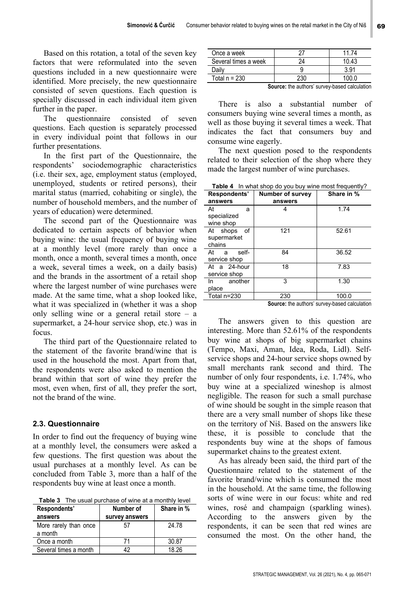Based on this rotation, a total of the seven key factors that were reformulated into the seven questions included in a new questionnaire were identified. More precisely, the new questionnaire consisted of seven questions. Each question is specially discussed in each individual item given further in the paper.

The questionnaire consisted of seven questions. Each question is separately processed in every individual point that follows in our further presentations.

In the first part of the Questionnaire, the respondents' sociodemographic characteristics (i.e. their sex, age, employment status (employed, unemployed, students or retired persons), their marital status (married, cohabiting or single), the number of household members, and the number of years of education) were determined.

The second part of the Questionnaire was dedicated to certain aspects of behavior when buying wine: the usual frequency of buying wine at a monthly level (more rarely than once a month, once a month, several times a month, once a week, several times a week, on a daily basis) and the brands in the assortment of a retail shop where the largest number of wine purchases were made. At the same time, what a shop looked like, what it was specialized in (whether it was a shop only selling wine or a general retail store – a supermarket, a 24-hour service shop, etc.) was in focus.

The third part of the Questionnaire related to the statement of the favorite brand/wine that is used in the household the most. Apart from that, the respondents were also asked to mention the brand within that sort of wine they prefer the most, even when, first of all, they prefer the sort, not the brand of the wine.

## **2.3. Questionnaire**

In order to find out the frequency of buying wine at a monthly level, the consumers were asked a few questions. The first question was about the usual purchases at a monthly level. As can be concluded from Table 3, more than a half of the respondents buy wine at least once a month.

**Table 3** The usual purchase of wine at a monthly level

| Respondents'                     | Number of      | Share in % |
|----------------------------------|----------------|------------|
| answers                          | survey answers |            |
| More rarely than once<br>a month | 57             | 24.78      |
| Once a month                     | 71             | 30.87      |
| Several times a month            | 19             | 18 26      |

| Once a week          |                                            |      |
|----------------------|--------------------------------------------|------|
| Several times a week |                                            | በ 13 |
| つailv                |                                            | 2.91 |
| Total n = 230        |                                            |      |
|                      | <b>Contract Contract Contract Contract</b> | .    |

**Source:** the authors' survey-based calculation

There is also a substantial number of consumers buying wine several times a month, as well as those buying it several times a week. That indicates the fact that consumers buy and consume wine eagerly.

The next question posed to the respondents related to their selection of the shop where they made the largest number of wine purchases.

**Table 4** In what shop do you buy wine most frequently?

| Respondents'                            | <b>Number of survey</b> | Share in % |
|-----------------------------------------|-------------------------|------------|
| answers                                 | answers                 |            |
| At<br>a<br>specialized<br>wine shop     | 4                       | 1.74       |
| of<br>At shops<br>supermarket<br>chains | 121                     | 52.61      |
| self-<br>At<br>a<br>service shop        | 84                      | 36.52      |
| At a 24-hour<br>service shop            | 18                      | 7.83       |
| another<br>In<br>place                  | 3                       | 1.30       |
| Total n=230                             | 230                     | 100.0      |

**Source:** the authors' survey-based calculation

The answers given to this question are interesting. More than 52.61% of the respondents buy wine at shops of big supermarket chains (Tempo, Maxi, Aman, Idea, Roda, Lidl). Selfservice shops and 24-hour service shops owned by small merchants rank second and third. The number of only four respondents, i.e. 1.74%, who buy wine at a specialized wineshop is almost negligible. The reason for such a small purchase of wine should be sought in the simple reason that there are a very small number of shops like these on the territory of Niš. Based on the answers like these, it is possible to conclude that the respondents buy wine at the shops of famous supermarket chains to the greatest extent.

As has already been said, the third part of the Questionnaire related to the statement of the favorite brand/wine which is consumed the most in the household. At the same time, the following sorts of wine were in our focus: white and red wines, rosé and champaign (sparkling wines). According to the answers given by the respondents, it can be seen that red wines are consumed the most. On the other hand, the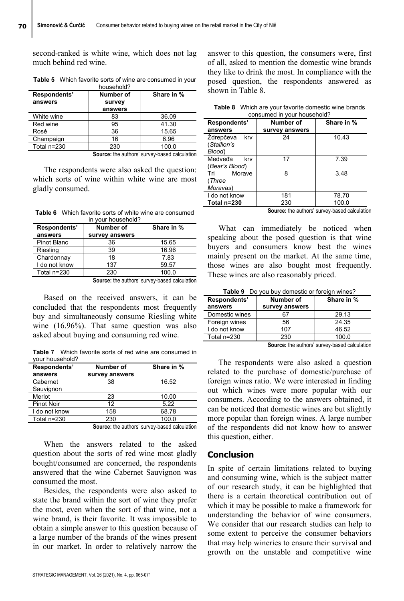second-ranked is white wine, which does not lag much behind red wine.

| Respondents'<br>answers | Number of<br>survey<br>answers | Share in % |
|-------------------------|--------------------------------|------------|
| White wine              | 83                             | 36.09      |
| Red wine                | 95                             | 41.30      |
| Rosé                    | 36                             | 15.65      |
| Champaign               | 16                             | 6.96       |
| Total n=230             | 230                            | 100.0      |

**Table 5** Which favorite sorts of wine are consumed in your household?

**Source:** the authors' survey-based calculation

The respondents were also asked the question: which sorts of wine within white wine are most gladly consumed.

**Table 6** Which favorite sorts of white wine are consumed in your household?

| Respondents'       | Number of      | Share in % |
|--------------------|----------------|------------|
| answers            | survey answers |            |
| <b>Pinot Blanc</b> | 36             | 15.65      |
| Riesling           | 39             | 16.96      |
| Chardonnay         | 18             | 7.83       |
| I do not know      | 137            | 59.57      |
| Total n=230        | 230            | 100.0      |

**Source:** the authors' survey-based calculation

Based on the received answers, it can be concluded that the respondents most frequently buy and simultaneously consume Riesling white wine (16.96%). That same question was also asked about buying and consuming red wine.

**Table 7** Which favorite sorts of red wine are consumed in your household?

| Respondents'<br>answers | Number of<br>survey answers | Share in % |
|-------------------------|-----------------------------|------------|
| Cabernet<br>Sauvignon   | 38                          | 16.52      |
| Merlot                  | 23                          | 10.00      |
| Pinot Noir              | 12                          | 5.22       |
| I do not know           | 158                         | 68.78      |
| Total n=230             | 230                         | 100.0      |

**Source:** the authors' survey-based calculation

When the answers related to the asked question about the sorts of red wine most gladly bought/consumed are concerned, the respondents answered that the wine Cabernet Sauvignon was consumed the most.

Besides, the respondents were also asked to state the brand within the sort of wine they prefer the most, even when the sort of that wine, not a wine brand, is their favorite. It was impossible to obtain a simple answer to this question because of a large number of the brands of the wines present in our market. In order to relatively narrow the

answer to this question, the consumers were, first of all, asked to mention the domestic wine brands they like to drink the most. In compliance with the posed question, the respondents answered as shown in Table 8.

| <b>Table 8</b> Which are your favorite domestic wine brands |
|-------------------------------------------------------------|
| consumed in your household?                                 |

| consumed in your nousenold:               |                             |            |  |  |
|-------------------------------------------|-----------------------------|------------|--|--|
| Respondents'<br>answers                   | Number of<br>survey answers | Share in % |  |  |
| Ždrepčeva<br>krv<br>(Stallion's<br>Blood) | 24                          | 10.43      |  |  |
| Medveđa<br>krv<br>(Bear's Blood)          | 17                          | 7.39       |  |  |
| Morave<br>Tri<br>(Three<br>Moravas)       | 8                           | 3.48       |  |  |
| I do not know                             | 181                         | 78.70      |  |  |
| Total n=230                               | 230                         | 100.0      |  |  |
|                                           | -<br>$\cdots$               | .          |  |  |

**Source:** the authors' survey-based calculation

What can immediately be noticed when speaking about the posed question is that wine buyers and consumers know best the wines mainly present on the market. At the same time, those wines are also bought most frequently. These wines are also reasonably priced.

**Table 9** Do you buy domestic or foreign wines?

| Respondents'<br>answers | Number of<br>survey answers | Share in % |
|-------------------------|-----------------------------|------------|
| Domestic wines          | 67                          | 29.13      |
| Foreign wines           | 56                          | 24.35      |
| I do not know           | 107                         | 46.52      |
| Total n=230             | 230                         | 100 0      |

**Source:** the authors' survey-based calculation

The respondents were also asked a question related to the purchase of domestic/purchase of foreign wines ratio. We were interested in finding out which wines were more popular with our consumers. According to the answers obtained, it can be noticed that domestic wines are but slightly more popular than foreign wines. A large number of the respondents did not know how to answer this question, either.

## **Conclusion**

In spite of certain limitations related to buying and consuming wine, which is the subject matter of our research study, it can be highlighted that there is a certain theoretical contribution out of which it may be possible to make a framework for understanding the behavior of wine consumers. We consider that our research studies can help to some extent to perceive the consumer behaviors that may help wineries to ensure their survival and growth on the unstable and competitive wine